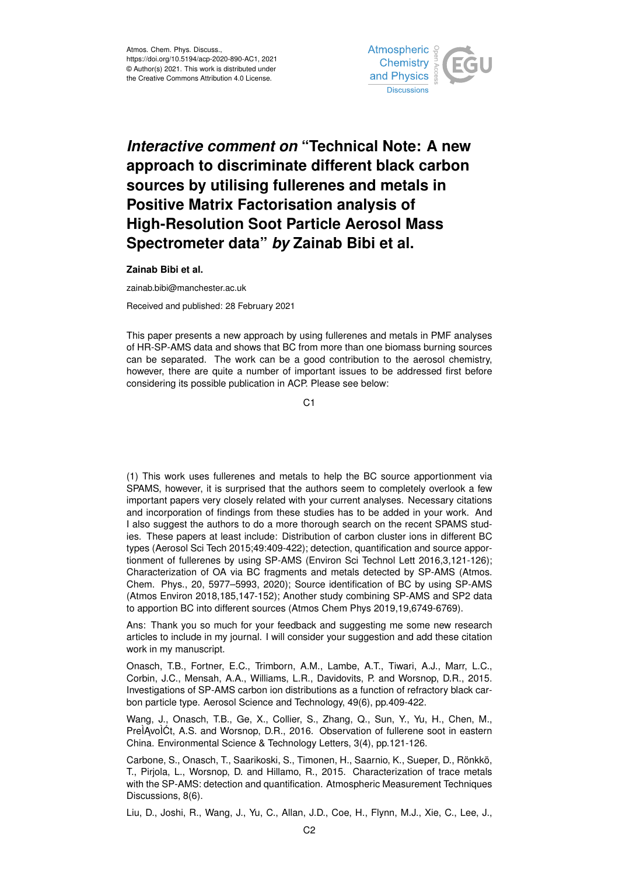

## *Interactive comment on* **"Technical Note: A new approach to discriminate different black carbon sources by utilising fullerenes and metals in Positive Matrix Factorisation analysis of High-Resolution Soot Particle Aerosol Mass Spectrometer data"** *by* **Zainab Bibi et al.**

**Zainab Bibi et al.**

zainab.bibi@manchester.ac.uk

Received and published: 28 February 2021

This paper presents a new approach by using fullerenes and metals in PMF analyses of HR-SP-AMS data and shows that BC from more than one biomass burning sources can be separated. The work can be a good contribution to the aerosol chemistry, however, there are quite a number of important issues to be addressed first before considering its possible publication in ACP. Please see below:

 $C<sub>1</sub>$ 

(1) This work uses fullerenes and metals to help the BC source apportionment via SPAMS, however, it is surprised that the authors seem to completely overlook a few important papers very closely related with your current analyses. Necessary citations and incorporation of findings from these studies has to be added in your work. And I also suggest the authors to do a more thorough search on the recent SPAMS studies. These papers at least include: Distribution of carbon cluster ions in different BC types (Aerosol Sci Tech 2015;49:409-422); detection, quantification and source apportionment of fullerenes by using SP-AMS (Environ Sci Technol Lett 2016,3,121-126); Characterization of OA via BC fragments and metals detected by SP-AMS (Atmos. Chem. Phys., 20, 5977–5993, 2020); Source identification of BC by using SP-AMS (Atmos Environ 2018,185,147-152); Another study combining SP-AMS and SP2 data to apportion BC into different sources (Atmos Chem Phys 2019,19,6749-6769).

Ans: Thank you so much for your feedback and suggesting me some new research articles to include in my journal. I will consider your suggestion and add these citation work in my manuscript.

Onasch, T.B., Fortner, E.C., Trimborn, A.M., Lambe, A.T., Tiwari, A.J., Marr, L.C., Corbin, J.C., Mensah, A.A., Williams, L.R., Davidovits, P. and Worsnop, D.R., 2015. Investigations of SP-AMS carbon ion distributions as a function of refractory black carbon particle type. Aerosol Science and Technology, 49(6), pp.409-422.

Wang, J., Onasch, T.B., Ge, X., Collier, S., Zhang, Q., Sun, Y., Yu, H., Chen, M., PrelAvolCt, A.S. and Worsnop, D.R., 2016. Observation of fullerene soot in eastern China. Environmental Science & Technology Letters, 3(4), pp.121-126.

Carbone, S., Onasch, T., Saarikoski, S., Timonen, H., Saarnio, K., Sueper, D., Rönkkö, T., Pirjola, L., Worsnop, D. and Hillamo, R., 2015. Characterization of trace metals with the SP-AMS: detection and quantification. Atmospheric Measurement Techniques Discussions, 8(6).

Liu, D., Joshi, R., Wang, J., Yu, C., Allan, J.D., Coe, H., Flynn, M.J., Xie, C., Lee, J.,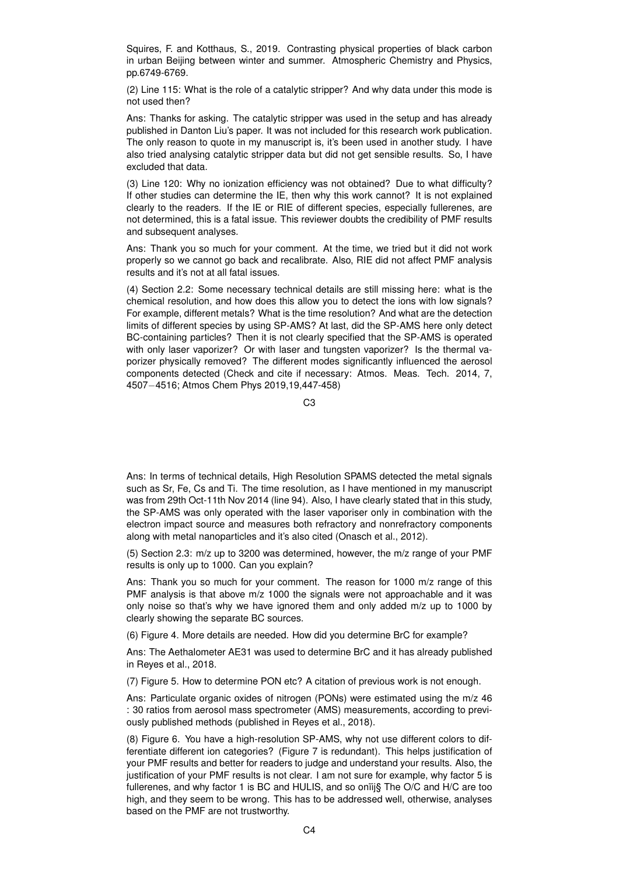Squires, F. and Kotthaus, S., 2019. Contrasting physical properties of black carbon in urban Beijing between winter and summer. Atmospheric Chemistry and Physics, pp.6749-6769.

(2) Line 115: What is the role of a catalytic stripper? And why data under this mode is not used then?

Ans: Thanks for asking. The catalytic stripper was used in the setup and has already published in Danton Liu's paper. It was not included for this research work publication. The only reason to quote in my manuscript is, it's been used in another study. I have also tried analysing catalytic stripper data but did not get sensible results. So, I have excluded that data.

(3) Line 120: Why no ionization efficiency was not obtained? Due to what difficulty? If other studies can determine the IE, then why this work cannot? It is not explained clearly to the readers. If the IE or RIE of different species, especially fullerenes, are not determined, this is a fatal issue. This reviewer doubts the credibility of PMF results and subsequent analyses.

Ans: Thank you so much for your comment. At the time, we tried but it did not work properly so we cannot go back and recalibrate. Also, RIE did not affect PMF analysis results and it's not at all fatal issues.

(4) Section 2.2: Some necessary technical details are still missing here: what is the chemical resolution, and how does this allow you to detect the ions with low signals? For example, different metals? What is the time resolution? And what are the detection limits of different species by using SP-AMS? At last, did the SP-AMS here only detect BC-containing particles? Then it is not clearly specified that the SP-AMS is operated with only laser vaporizer? Or with laser and tungsten vaporizer? Is the thermal vaporizer physically removed? The different modes significantly influenced the aerosol components detected (Check and cite if necessary: Atmos. Meas. Tech. 2014, 7, 4507−4516; Atmos Chem Phys 2019,19,447-458)

Ans: In terms of technical details, High Resolution SPAMS detected the metal signals such as Sr, Fe, Cs and Ti. The time resolution, as I have mentioned in my manuscript was from 29th Oct-11th Nov 2014 (line 94). Also, I have clearly stated that in this study, the SP-AMS was only operated with the laser vaporiser only in combination with the electron impact source and measures both refractory and nonrefractory components along with metal nanoparticles and it's also cited (Onasch et al., 2012).

(5) Section 2.3: m/z up to 3200 was determined, however, the m/z range of your PMF results is only up to 1000. Can you explain?

Ans: Thank you so much for your comment. The reason for 1000 m/z range of this PMF analysis is that above m/z 1000 the signals were not approachable and it was only noise so that's why we have ignored them and only added m/z up to 1000 by clearly showing the separate BC sources.

(6) Figure 4. More details are needed. How did you determine BrC for example?

Ans: The Aethalometer AE31 was used to determine BrC and it has already published in Reyes et al., 2018.

(7) Figure 5. How to determine PON etc? A citation of previous work is not enough.

Ans: Particulate organic oxides of nitrogen (PONs) were estimated using the m/z 46 : 30 ratios from aerosol mass spectrometer (AMS) measurements, according to previously published methods (published in Reyes et al., 2018).

(8) Figure 6. You have a high-resolution SP-AMS, why not use different colors to differentiate different ion categories? (Figure 7 is redundant). This helps justification of your PMF results and better for readers to judge and understand your results. Also, the justification of your PMF results is not clear. I am not sure for example, why factor 5 is fullerenes, and why factor 1 is BC and HULIS, and so onïij§ The O/C and H/C are too high, and they seem to be wrong. This has to be addressed well, otherwise, analyses based on the PMF are not trustworthy.

C3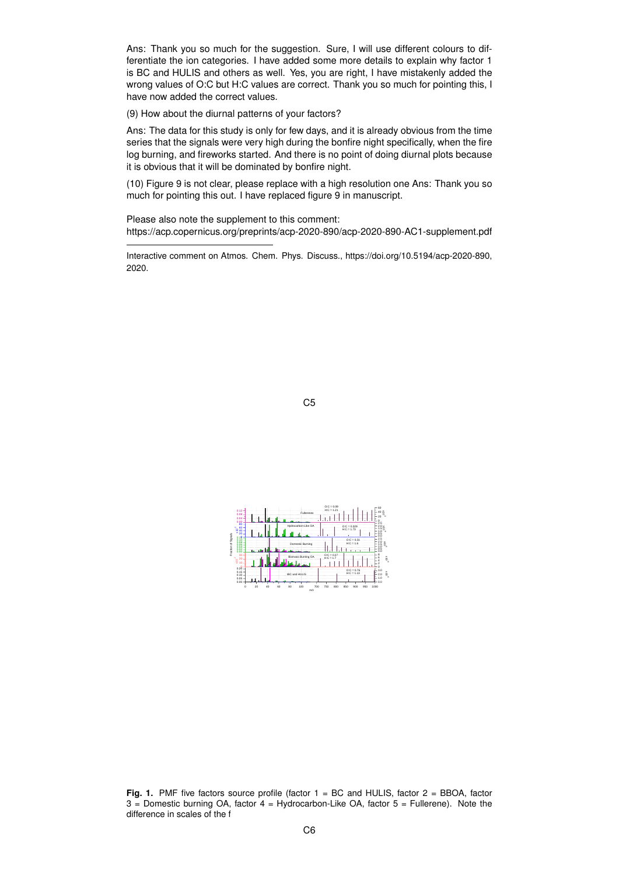Ans: Thank you so much for the suggestion. Sure, I will use different colours to differentiate the ion categories. I have added some more details to explain why factor 1 is BC and HULIS and others as well. Yes, you are right, I have mistakenly added the wrong values of O:C but H:C values are correct. Thank you so much for pointing this, I have now added the correct values.

(9) How about the diurnal patterns of your factors?

Ans: The data for this study is only for few days, and it is already obvious from the time series that the signals were very high during the bonfire night specifically, when the fire log burning, and fireworks started. And there is no point of doing diurnal plots because it is obvious that it will be dominated by bonfire night.

(10) Figure 9 is not clear, please replace with a high resolution one Ans: Thank you so much for pointing this out. I have replaced figure 9 in manuscript.

Please also note the supplement to this comment: https://acp.copernicus.org/preprints/acp-2020-890/acp-2020-890-AC1-supplement.pdf

Interactive comment on Atmos. Chem. Phys. Discuss., https://doi.org/10.5194/acp-2020-890, 2020.





**Fig. 1.** PMF five factors source profile (factor 1 = BC and HULIS, factor 2 = BBOA, factor  $3 =$  Domestic burning OA, factor  $4 =$  Hydrocarbon-Like OA, factor  $5 =$  Fullerene). Note the difference in scales of the f